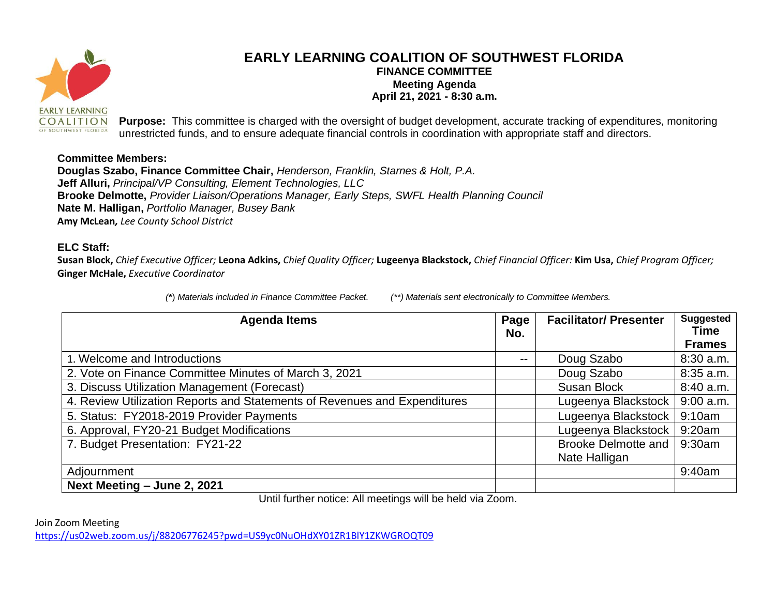

## **EARLY LEARNING COALITION OF SOUTHWEST FLORIDA FINANCE COMMITTEE Meeting Agenda April 21, 2021 - 8:30 a.m.**

**Purpose:** This committee is charged with the oversight of budget development, accurate tracking of expenditures, monitoring unrestricted funds, and to ensure adequate financial controls in coordination with appropriate staff and directors.

## **Committee Members:**

**Douglas Szabo, Finance Committee Chair,** *Henderson, Franklin, Starnes & Holt, P.A.*  **Jeff Alluri,** *Principal/VP Consulting, Element Technologies, LLC*  **Brooke Delmotte,** *Provider Liaison/Operations Manager, Early Steps, SWFL Health Planning Council*  **Nate M. Halligan,** *Portfolio Manager, Busey Bank*  **Amy McLean***, Lee County School District*

## **ELC Staff:**

**Susan Block,** *Chief Executive Officer;* **Leona Adkins,** *Chief Quality Officer;* **Lugeenya Blackstock,** *Chief Financial Officer:* **Kim Usa,** *Chief Program Officer;*  **Ginger McHale,** *Executive Coordinator*

*(***\***) *Materials included in Finance Committee Packet. (\*\*) Materials sent electronically to Committee Members.*

| <b>Agenda Items</b>                                                       | Page<br>No. | <b>Facilitator/ Presenter</b>               | <b>Suggested</b><br><b>Time</b><br><b>Frames</b> |
|---------------------------------------------------------------------------|-------------|---------------------------------------------|--------------------------------------------------|
| 1. Welcome and Introductions                                              | --          | Doug Szabo                                  | 8:30 a.m.                                        |
| 2. Vote on Finance Committee Minutes of March 3, 2021                     |             | Doug Szabo                                  | 8:35 a.m.                                        |
| 3. Discuss Utilization Management (Forecast)                              |             | Susan Block                                 | $8:40$ a.m.                                      |
| 4. Review Utilization Reports and Statements of Revenues and Expenditures |             | Lugeenya Blackstock                         | $9:00$ a.m.                                      |
| 5. Status: FY2018-2019 Provider Payments                                  |             | Lugeenya Blackstock                         | 9:10am                                           |
| 6. Approval, FY20-21 Budget Modifications                                 |             | Lugeenya Blackstock                         | 9:20am                                           |
| 7. Budget Presentation: FY21-22                                           |             | <b>Brooke Delmotte and</b><br>Nate Halligan | 9:30am                                           |
| Adjournment                                                               |             |                                             | 9:40am                                           |
| Next Meeting - June 2, 2021                                               |             |                                             |                                                  |

Until further notice: All meetings will be held via Zoom.

Join Zoom Meeting

<https://us02web.zoom.us/j/88206776245?pwd=US9yc0NuOHdXY01ZR1BlY1ZKWGROQT09>